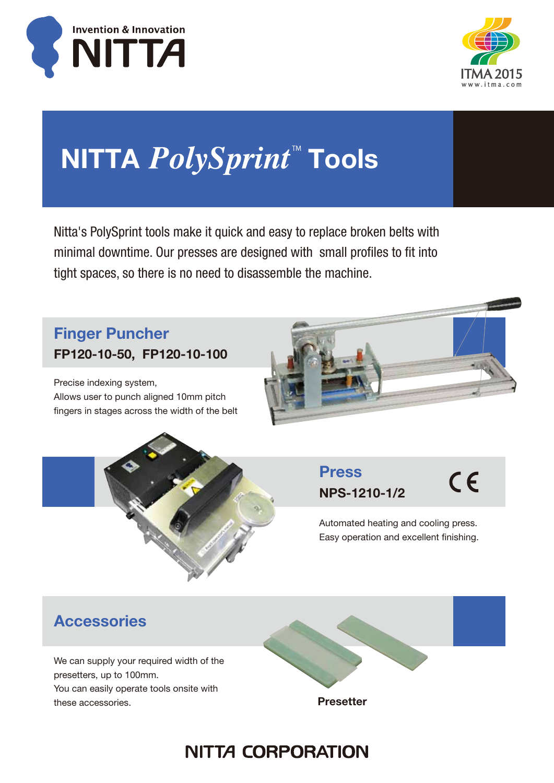



# NITTA *PolySprint*™ Tools

Nitta's PolySprint tools make it quick and easy to replace broken belts with minimal downtime. Our presses are designed with small profiles to fit into tight spaces, so there is no need to disassemble the machine.

### Finger Puncher FP120-10-50, FP120-10-100

Precise indexing system, Allows user to punch aligned 10mm pitch fingers in stages across the width of the belt



Press NPS-1210-1/2  $C \in$ 

Automated heating and cooling press. Easy operation and excellent finishing.

### **Accessories**

We can supply your required width of the presetters, up to 100mm. You can easily operate tools onsite with these accessories.

Presetter

## **NITTA CORPORATION**